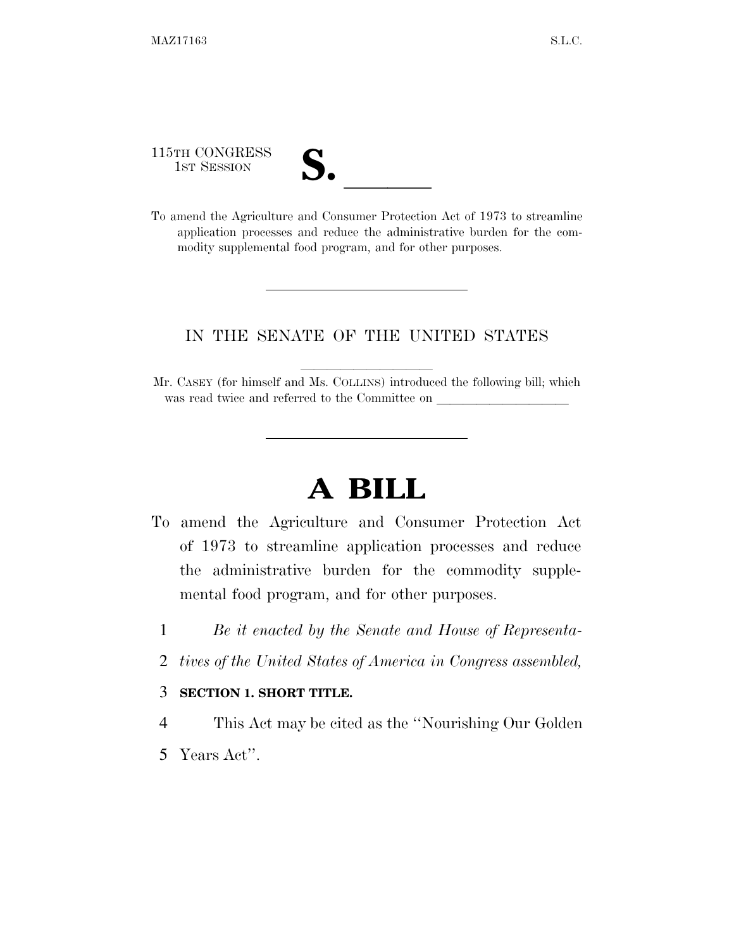115TH CONGRESS

115TH CONGRESS<br>
1ST SESSION<br>
To amend the Agriculture and Consumer Protection Act of 1973 to streamline application processes and reduce the administrative burden for the commodity supplemental food program, and for other purposes.

## IN THE SENATE OF THE UNITED STATES

Mr. CASEY (for himself and Ms. COLLINS) introduced the following bill; which was read twice and referred to the Committee on

## **A BILL**

- To amend the Agriculture and Consumer Protection Act of 1973 to streamline application processes and reduce the administrative burden for the commodity supplemental food program, and for other purposes.
	- 1 *Be it enacted by the Senate and House of Representa-*
	- 2 *tives of the United States of America in Congress assembled,*

## 3 **SECTION 1. SHORT TITLE.**

- 4 This Act may be cited as the ''Nourishing Our Golden
- 5 Years Act''.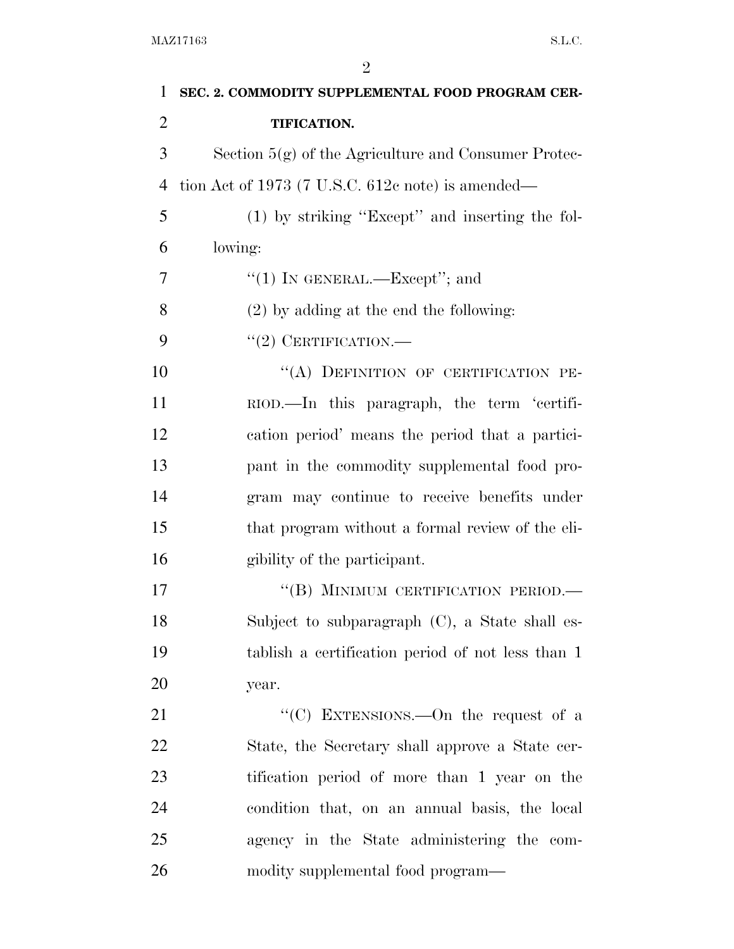| $\mathbf{1}$   | SEC. 2. COMMODITY SUPPLEMENTAL FOOD PROGRAM CER-       |
|----------------|--------------------------------------------------------|
| $\overline{2}$ | TIFICATION.                                            |
| 3              | Section $5(g)$ of the Agriculture and Consumer Protec- |
| $\overline{4}$ | tion Act of 1973 (7 U.S.C. $612c$ note) is amended—    |
| 5              | (1) by striking "Except" and inserting the fol-        |
| 6              | lowing:                                                |
| 7              | "(1) IN GENERAL.—Except"; and                          |
| 8              | $(2)$ by adding at the end the following:              |
| 9              | $``(2)$ CERTIFICATION.—                                |
| 10             | "(A) DEFINITION OF CERTIFICATION PE-                   |
| 11             | RIOD.—In this paragraph, the term 'certifi-            |
| 12             | cation period' means the period that a partici-        |
| 13             | pant in the commodity supplemental food pro-           |
| 14             | gram may continue to receive benefits under            |
| 15             | that program without a formal review of the eli-       |
| 16             | gibility of the participant.                           |
| 17             | "(B) MINIMUM CERTIFICATION PERIOD.-                    |
| 18             | Subject to subparagraph $(C)$ , a State shall es-      |
| 19             | tablish a certification period of not less than 1      |
| 20             | year.                                                  |
| 21             | "(C) EXTENSIONS.—On the request of a                   |
| 22             | State, the Secretary shall approve a State cer-        |
| 23             | tification period of more than 1 year on the           |
| 24             | condition that, on an annual basis, the local          |
| 25             | agency in the State administering the com-             |
| 26             | modity supplemental food program—                      |